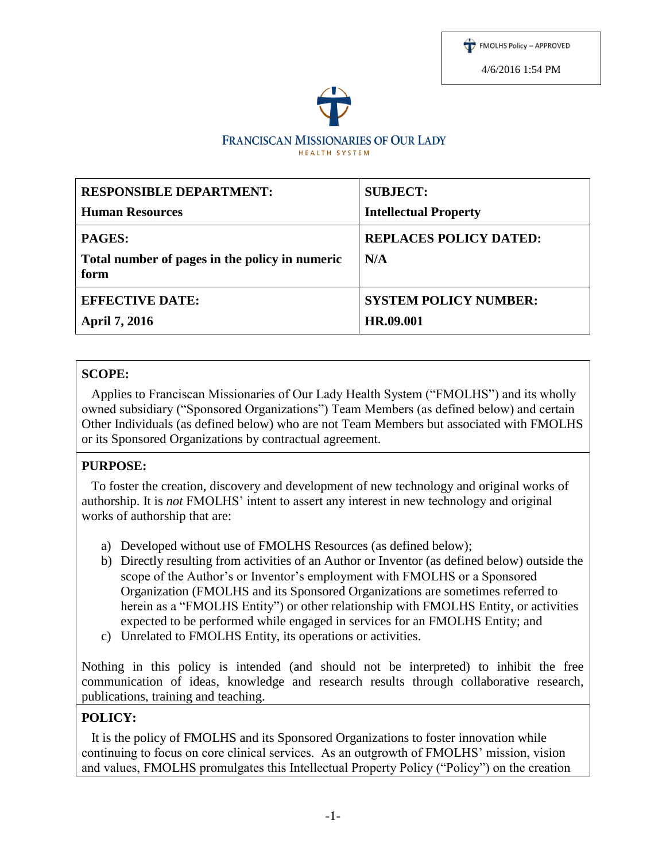



| <b>RESPONSIBLE DEPARTMENT:</b>                         | <b>SUBJECT:</b>               |
|--------------------------------------------------------|-------------------------------|
| <b>Human Resources</b>                                 | <b>Intellectual Property</b>  |
| <b>PAGES:</b>                                          | <b>REPLACES POLICY DATED:</b> |
| Total number of pages in the policy in numeric<br>form | N/A                           |
| <b>EFFECTIVE DATE:</b>                                 | <b>SYSTEM POLICY NUMBER:</b>  |
| <b>April 7, 2016</b>                                   | HR.09.001                     |

#### **SCOPE:**

 Applies to Franciscan Missionaries of Our Lady Health System ("FMOLHS") and its wholly owned subsidiary ("Sponsored Organizations") Team Members (as defined below) and certain Other Individuals (as defined below) who are not Team Members but associated with FMOLHS or its Sponsored Organizations by contractual agreement.

#### **PURPOSE:**

 To foster the creation, discovery and development of new technology and original works of authorship. It is *not* FMOLHS' intent to assert any interest in new technology and original works of authorship that are:

- a) Developed without use of FMOLHS Resources (as defined below);
- b) Directly resulting from activities of an Author or Inventor (as defined below) outside the scope of the Author's or Inventor's employment with FMOLHS or a Sponsored Organization (FMOLHS and its Sponsored Organizations are sometimes referred to herein as a "FMOLHS Entity") or other relationship with FMOLHS Entity, or activities expected to be performed while engaged in services for an FMOLHS Entity; and
- c) Unrelated to FMOLHS Entity, its operations or activities.

Nothing in this policy is intended (and should not be interpreted) to inhibit the free communication of ideas, knowledge and research results through collaborative research, publications, training and teaching.

#### **POLICY:**

 It is the policy of FMOLHS and its Sponsored Organizations to foster innovation while continuing to focus on core clinical services. As an outgrowth of FMOLHS' mission, vision and values, FMOLHS promulgates this Intellectual Property Policy ("Policy") on the creation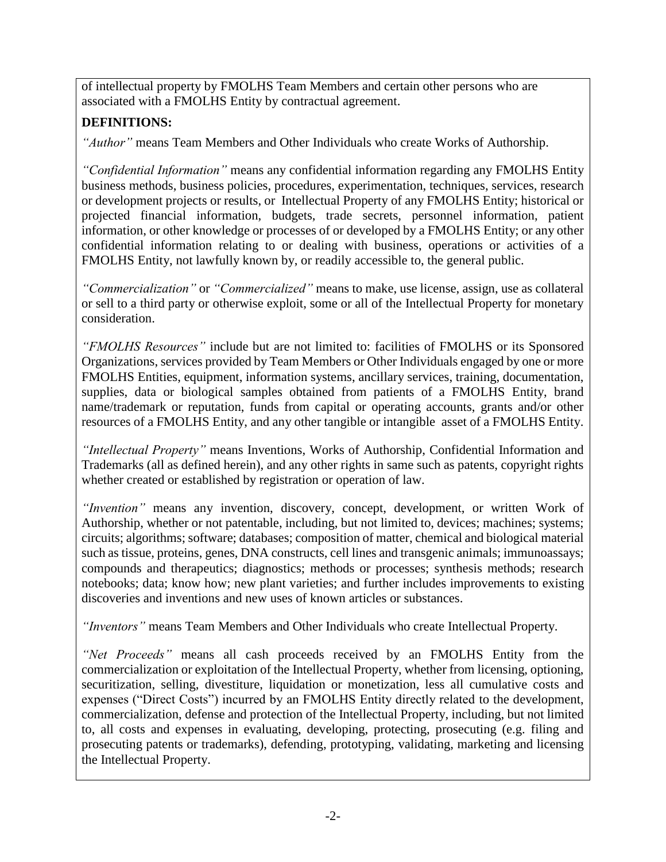of intellectual property by FMOLHS Team Members and certain other persons who are associated with a FMOLHS Entity by contractual agreement.

# **DEFINITIONS:**

*"Author"* means Team Members and Other Individuals who create Works of Authorship.

*"Confidential Information"* means any confidential information regarding any FMOLHS Entity business methods, business policies, procedures, experimentation, techniques, services, research or development projects or results, or Intellectual Property of any FMOLHS Entity; historical or projected financial information, budgets, trade secrets, personnel information, patient information, or other knowledge or processes of or developed by a FMOLHS Entity; or any other confidential information relating to or dealing with business, operations or activities of a FMOLHS Entity, not lawfully known by, or readily accessible to, the general public.

*"Commercialization"* or *"Commercialized"* means to make, use license, assign, use as collateral or sell to a third party or otherwise exploit, some or all of the Intellectual Property for monetary consideration.

*"FMOLHS Resources"* include but are not limited to: facilities of FMOLHS or its Sponsored Organizations, services provided by Team Members or Other Individuals engaged by one or more FMOLHS Entities, equipment, information systems, ancillary services, training, documentation, supplies, data or biological samples obtained from patients of a FMOLHS Entity, brand name/trademark or reputation, funds from capital or operating accounts, grants and/or other resources of a FMOLHS Entity, and any other tangible or intangible asset of a FMOLHS Entity.

*"Intellectual Property"* means Inventions, Works of Authorship, Confidential Information and Trademarks (all as defined herein), and any other rights in same such as patents, copyright rights whether created or established by registration or operation of law.

*"Invention"* means any invention, discovery, concept, development, or written Work of Authorship, whether or not patentable, including, but not limited to, devices; machines; systems; circuits; algorithms; software; databases; composition of matter, chemical and biological material such as tissue, proteins, genes, DNA constructs, cell lines and transgenic animals; immunoassays; compounds and therapeutics; diagnostics; methods or processes; synthesis methods; research notebooks; data; know how; new plant varieties; and further includes improvements to existing discoveries and inventions and new uses of known articles or substances.

*"Inventors"* means Team Members and Other Individuals who create Intellectual Property.

*"Net Proceeds"* means all cash proceeds received by an FMOLHS Entity from the commercialization or exploitation of the Intellectual Property, whether from licensing, optioning, securitization, selling, divestiture, liquidation or monetization, less all cumulative costs and expenses ("Direct Costs") incurred by an FMOLHS Entity directly related to the development, commercialization, defense and protection of the Intellectual Property, including, but not limited to, all costs and expenses in evaluating, developing, protecting, prosecuting (e.g. filing and prosecuting patents or trademarks), defending, prototyping, validating, marketing and licensing the Intellectual Property.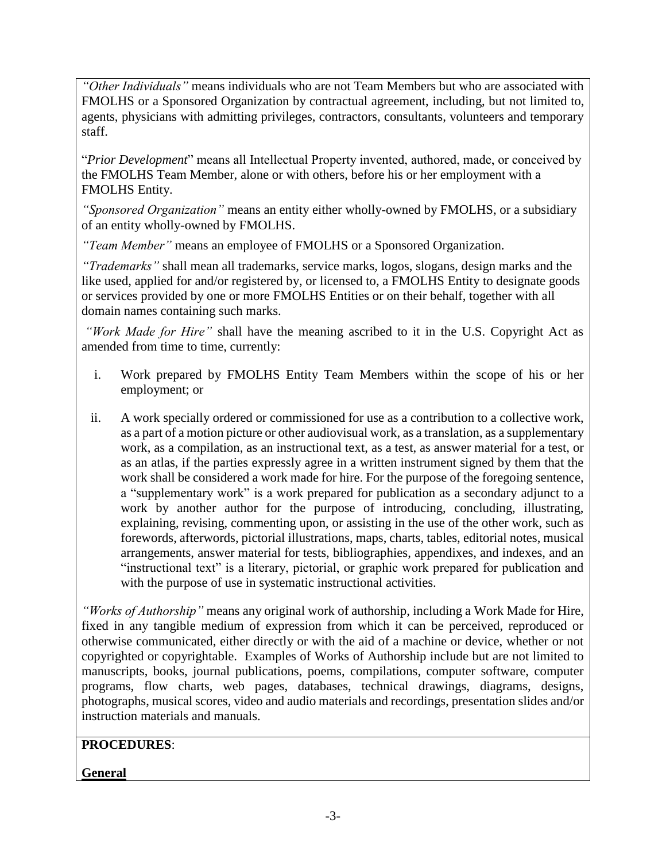*"Other Individuals"* means individuals who are not Team Members but who are associated with FMOLHS or a Sponsored Organization by contractual agreement, including, but not limited to, agents, physicians with admitting privileges, contractors, consultants, volunteers and temporary staff.

"*Prior Development*" means all Intellectual Property invented, authored, made, or conceived by the FMOLHS Team Member, alone or with others, before his or her employment with a FMOLHS Entity.

*"Sponsored Organization"* means an entity either wholly-owned by FMOLHS, or a subsidiary of an entity wholly-owned by FMOLHS.

*"Team Member"* means an employee of FMOLHS or a Sponsored Organization.

*"Trademarks"* shall mean all trademarks, service marks, logos, slogans, design marks and the like used, applied for and/or registered by, or licensed to, a FMOLHS Entity to designate goods or services provided by one or more FMOLHS Entities or on their behalf, together with all domain names containing such marks.

*"Work Made for Hire"* shall have the meaning ascribed to it in the U.S. Copyright Act as amended from time to time, currently:

- i. Work prepared by FMOLHS Entity Team Members within the scope of his or her employment; or
- ii. A work specially ordered or commissioned for use as a contribution to a collective work, as a part of a motion picture or other audiovisual work, as a translation, as a supplementary work, as a compilation, as an instructional text, as a test, as answer material for a test, or as an atlas, if the parties expressly agree in a written instrument signed by them that the work shall be considered a work made for hire. For the purpose of the foregoing sentence, a "supplementary work" is a work prepared for publication as a secondary adjunct to a work by another author for the purpose of introducing, concluding, illustrating, explaining, revising, commenting upon, or assisting in the use of the other work, such as forewords, afterwords, pictorial illustrations, maps, charts, tables, editorial notes, musical arrangements, answer material for tests, bibliographies, appendixes, and indexes, and an "instructional text" is a literary, pictorial, or graphic work prepared for publication and with the purpose of use in systematic instructional activities.

*"Works of Authorship"* means any original work of authorship, including a Work Made for Hire, fixed in any tangible medium of expression from which it can be perceived, reproduced or otherwise communicated, either directly or with the aid of a machine or device, whether or not copyrighted or copyrightable. Examples of Works of Authorship include but are not limited to manuscripts, books, journal publications, poems, compilations, computer software, computer programs, flow charts, web pages, databases, technical drawings, diagrams, designs, photographs, musical scores, video and audio materials and recordings, presentation slides and/or instruction materials and manuals.

# **PROCEDURES**:

# **General**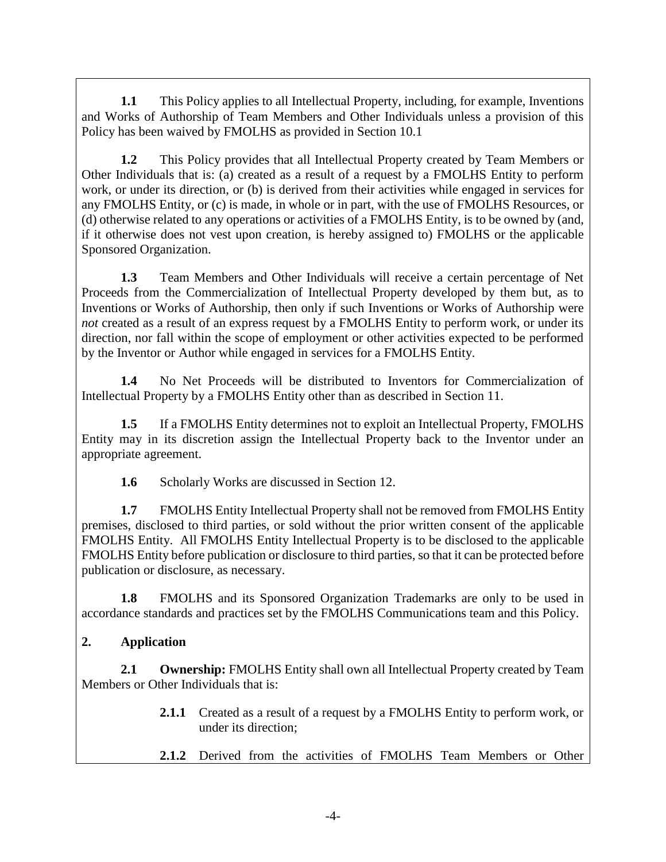**1.1** This Policy applies to all Intellectual Property, including, for example, Inventions and Works of Authorship of Team Members and Other Individuals unless a provision of this Policy has been waived by FMOLHS as provided in Section 10.1

**1.2** This Policy provides that all Intellectual Property created by Team Members or Other Individuals that is: (a) created as a result of a request by a FMOLHS Entity to perform work, or under its direction, or (b) is derived from their activities while engaged in services for any FMOLHS Entity, or (c) is made, in whole or in part, with the use of FMOLHS Resources, or (d) otherwise related to any operations or activities of a FMOLHS Entity, is to be owned by (and, if it otherwise does not vest upon creation, is hereby assigned to) FMOLHS or the applicable Sponsored Organization.

**1.3** Team Members and Other Individuals will receive a certain percentage of Net Proceeds from the Commercialization of Intellectual Property developed by them but, as to Inventions or Works of Authorship, then only if such Inventions or Works of Authorship were *not* created as a result of an express request by a FMOLHS Entity to perform work, or under its direction, nor fall within the scope of employment or other activities expected to be performed by the Inventor or Author while engaged in services for a FMOLHS Entity.

**1.4** No Net Proceeds will be distributed to Inventors for Commercialization of Intellectual Property by a FMOLHS Entity other than as described in Section 11.

**1.5** If a FMOLHS Entity determines not to exploit an Intellectual Property, FMOLHS Entity may in its discretion assign the Intellectual Property back to the Inventor under an appropriate agreement.

**1.6** Scholarly Works are discussed in Section 12.

**1.7** FMOLHS Entity Intellectual Property shall not be removed from FMOLHS Entity premises, disclosed to third parties, or sold without the prior written consent of the applicable FMOLHS Entity. All FMOLHS Entity Intellectual Property is to be disclosed to the applicable FMOLHS Entity before publication or disclosure to third parties, so that it can be protected before publication or disclosure, as necessary.

**1.8** FMOLHS and its Sponsored Organization Trademarks are only to be used in accordance standards and practices set by the FMOLHS Communications team and this Policy.

# **2. Application**

**2.1 Ownership:** FMOLHS Entity shall own all Intellectual Property created by Team Members or Other Individuals that is:

- **2.1.1** Created as a result of a request by a FMOLHS Entity to perform work, or under its direction;
- **2.1.2** Derived from the activities of FMOLHS Team Members or Other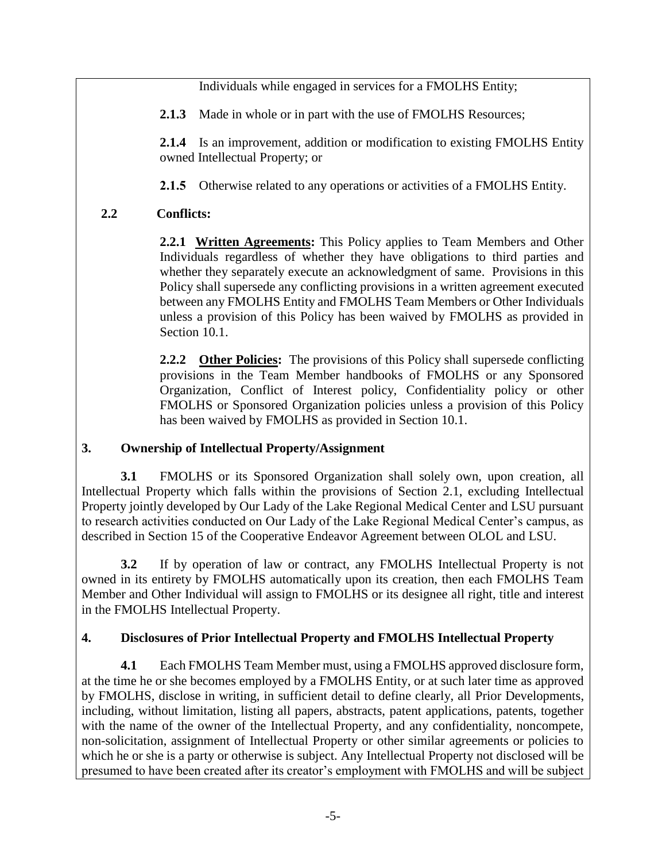Individuals while engaged in services for a FMOLHS Entity;

2.1.3 Made in whole or in part with the use of FMOLHS Resources;

**2.1.4** Is an improvement, addition or modification to existing FMOLHS Entity owned Intellectual Property; or

**2.1.5** Otherwise related to any operations or activities of a FMOLHS Entity.

## **2.2 Conflicts:**

**2.2.1 Written Agreements:** This Policy applies to Team Members and Other Individuals regardless of whether they have obligations to third parties and whether they separately execute an acknowledgment of same. Provisions in this Policy shall supersede any conflicting provisions in a written agreement executed between any FMOLHS Entity and FMOLHS Team Members or Other Individuals unless a provision of this Policy has been waived by FMOLHS as provided in Section 10.1.

**2.2.2 Other Policies:** The provisions of this Policy shall supersede conflicting provisions in the Team Member handbooks of FMOLHS or any Sponsored Organization, Conflict of Interest policy, Confidentiality policy or other FMOLHS or Sponsored Organization policies unless a provision of this Policy has been waived by FMOLHS as provided in Section 10.1.

## **3. Ownership of Intellectual Property/Assignment**

**3.1** FMOLHS or its Sponsored Organization shall solely own, upon creation, all Intellectual Property which falls within the provisions of Section 2.1, excluding Intellectual Property jointly developed by Our Lady of the Lake Regional Medical Center and LSU pursuant to research activities conducted on Our Lady of the Lake Regional Medical Center's campus, as described in Section 15 of the Cooperative Endeavor Agreement between OLOL and LSU.

**3.2** If by operation of law or contract, any FMOLHS Intellectual Property is not owned in its entirety by FMOLHS automatically upon its creation, then each FMOLHS Team Member and Other Individual will assign to FMOLHS or its designee all right, title and interest in the FMOLHS Intellectual Property.

## **4. Disclosures of Prior Intellectual Property and FMOLHS Intellectual Property**

**4.1** Each FMOLHS Team Member must, using a FMOLHS approved disclosure form, at the time he or she becomes employed by a FMOLHS Entity, or at such later time as approved by FMOLHS, disclose in writing, in sufficient detail to define clearly, all Prior Developments, including, without limitation, listing all papers, abstracts, patent applications, patents, together with the name of the owner of the Intellectual Property, and any confidentiality, noncompete, non-solicitation, assignment of Intellectual Property or other similar agreements or policies to which he or she is a party or otherwise is subject. Any Intellectual Property not disclosed will be presumed to have been created after its creator's employment with FMOLHS and will be subject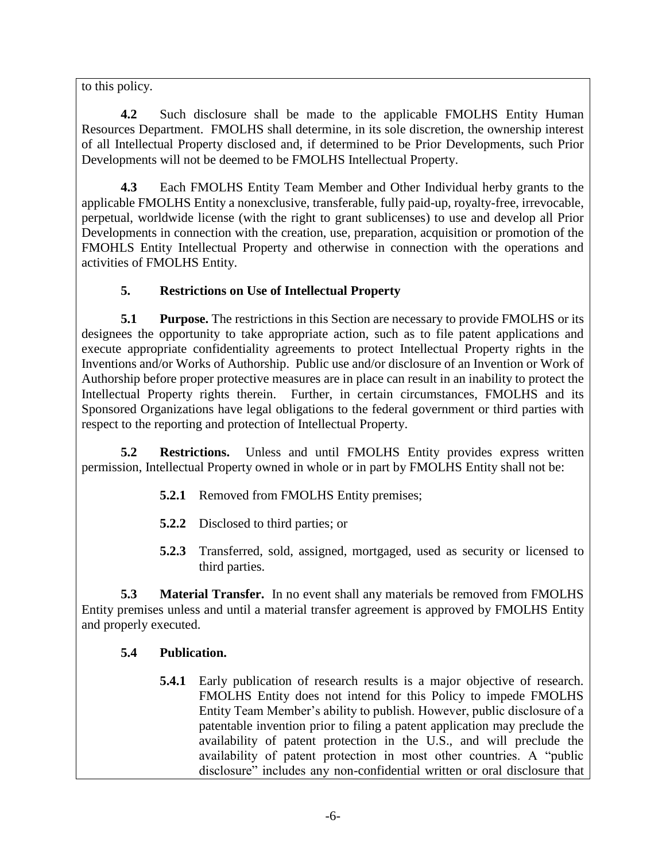to this policy.

**4.2** Such disclosure shall be made to the applicable FMOLHS Entity Human Resources Department. FMOLHS shall determine, in its sole discretion, the ownership interest of all Intellectual Property disclosed and, if determined to be Prior Developments, such Prior Developments will not be deemed to be FMOLHS Intellectual Property.

**4.3** Each FMOLHS Entity Team Member and Other Individual herby grants to the applicable FMOLHS Entity a nonexclusive, transferable, fully paid-up, royalty-free, irrevocable, perpetual, worldwide license (with the right to grant sublicenses) to use and develop all Prior Developments in connection with the creation, use, preparation, acquisition or promotion of the FMOHLS Entity Intellectual Property and otherwise in connection with the operations and activities of FMOLHS Entity.

## **5. Restrictions on Use of Intellectual Property**

**5.1 Purpose.** The restrictions in this Section are necessary to provide FMOLHS or its designees the opportunity to take appropriate action, such as to file patent applications and execute appropriate confidentiality agreements to protect Intellectual Property rights in the Inventions and/or Works of Authorship. Public use and/or disclosure of an Invention or Work of Authorship before proper protective measures are in place can result in an inability to protect the Intellectual Property rights therein. Further, in certain circumstances, FMOLHS and its Sponsored Organizations have legal obligations to the federal government or third parties with respect to the reporting and protection of Intellectual Property.

**5.2 Restrictions.** Unless and until FMOLHS Entity provides express written permission, Intellectual Property owned in whole or in part by FMOLHS Entity shall not be:

- **5.2.1** Removed from FMOLHS Entity premises;
- **5.2.2** Disclosed to third parties; or
- **5.2.3** Transferred, sold, assigned, mortgaged, used as security or licensed to third parties.

**5.3 Material Transfer.** In no event shall any materials be removed from FMOLHS Entity premises unless and until a material transfer agreement is approved by FMOLHS Entity and properly executed.

# **5.4 Publication.**

**5.4.1** Early publication of research results is a major objective of research. FMOLHS Entity does not intend for this Policy to impede FMOLHS Entity Team Member's ability to publish. However, public disclosure of a patentable invention prior to filing a patent application may preclude the availability of patent protection in the U.S., and will preclude the availability of patent protection in most other countries. A "public disclosure" includes any non-confidential written or oral disclosure that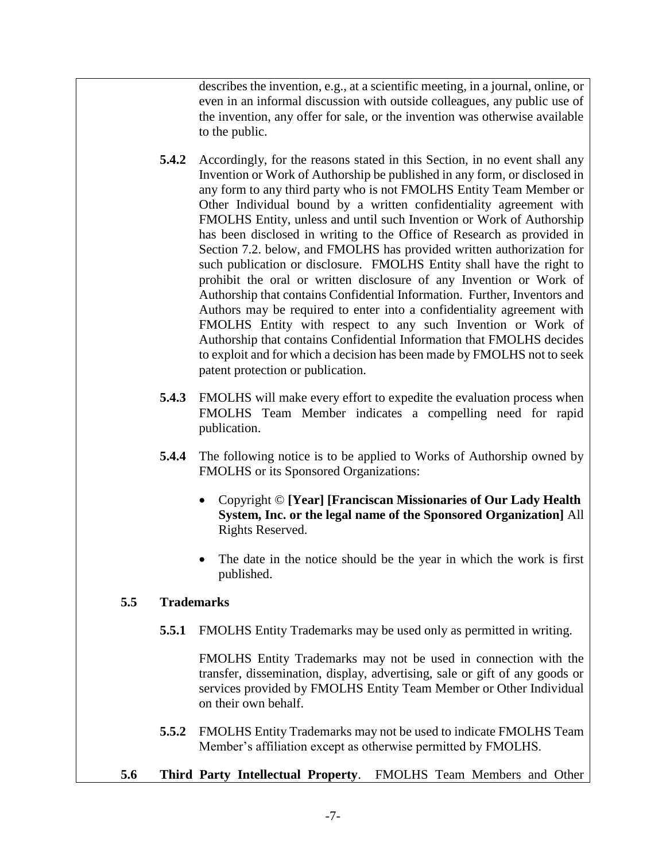describes the invention, e.g., at a scientific meeting, in a journal, online, or even in an informal discussion with outside colleagues, any public use of the invention, any offer for sale, or the invention was otherwise available to the public.

- **5.4.2** Accordingly, for the reasons stated in this Section, in no event shall any Invention or Work of Authorship be published in any form, or disclosed in any form to any third party who is not FMOLHS Entity Team Member or Other Individual bound by a written confidentiality agreement with FMOLHS Entity, unless and until such Invention or Work of Authorship has been disclosed in writing to the Office of Research as provided in Section 7.2. below, and FMOLHS has provided written authorization for such publication or disclosure. FMOLHS Entity shall have the right to prohibit the oral or written disclosure of any Invention or Work of Authorship that contains Confidential Information. Further, Inventors and Authors may be required to enter into a confidentiality agreement with FMOLHS Entity with respect to any such Invention or Work of Authorship that contains Confidential Information that FMOLHS decides to exploit and for which a decision has been made by FMOLHS not to seek patent protection or publication.
- **5.4.3** FMOLHS will make every effort to expedite the evaluation process when FMOLHS Team Member indicates a compelling need for rapid publication.
- **5.4.4** The following notice is to be applied to Works of Authorship owned by FMOLHS or its Sponsored Organizations:
	- Copyright © **[Year] [Franciscan Missionaries of Our Lady Health System, Inc. or the legal name of the Sponsored Organization]** All Rights Reserved.
	- The date in the notice should be the year in which the work is first published.

#### **5.5 Trademarks**

**5.5.1** FMOLHS Entity Trademarks may be used only as permitted in writing.

FMOLHS Entity Trademarks may not be used in connection with the transfer, dissemination, display, advertising, sale or gift of any goods or services provided by FMOLHS Entity Team Member or Other Individual on their own behalf.

- **5.5.2** FMOLHS Entity Trademarks may not be used to indicate FMOLHS Team Member's affiliation except as otherwise permitted by FMOLHS.
- **5.6 Third Party Intellectual Property**. FMOLHS Team Members and Other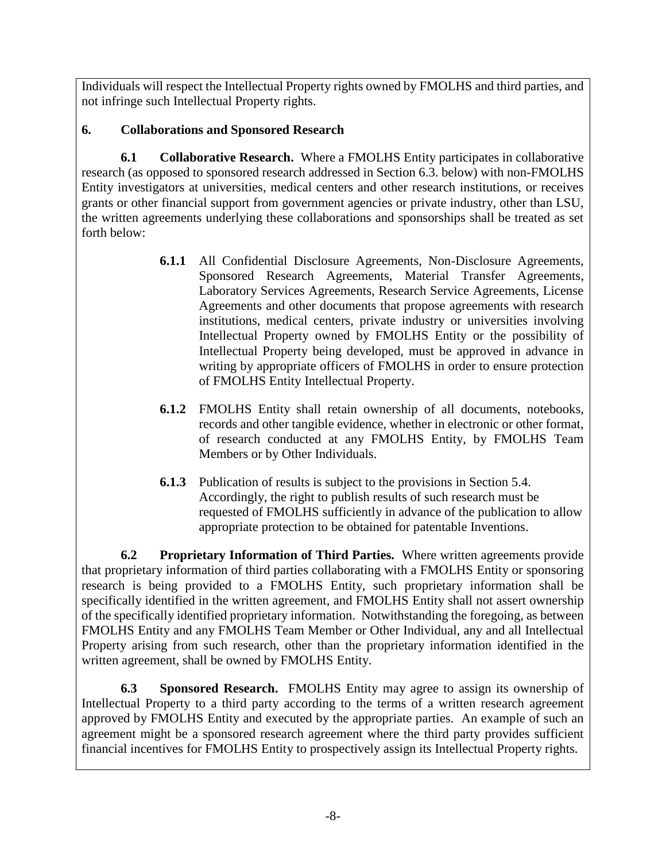Individuals will respect the Intellectual Property rights owned by FMOLHS and third parties, and not infringe such Intellectual Property rights.

# **6. Collaborations and Sponsored Research**

**6.1 Collaborative Research.** Where a FMOLHS Entity participates in collaborative research (as opposed to sponsored research addressed in Section 6.3. below) with non-FMOLHS Entity investigators at universities, medical centers and other research institutions, or receives grants or other financial support from government agencies or private industry, other than LSU, the written agreements underlying these collaborations and sponsorships shall be treated as set forth below:

- **6.1.1** All Confidential Disclosure Agreements, Non-Disclosure Agreements, Sponsored Research Agreements, Material Transfer Agreements, Laboratory Services Agreements, Research Service Agreements, License Agreements and other documents that propose agreements with research institutions, medical centers, private industry or universities involving Intellectual Property owned by FMOLHS Entity or the possibility of Intellectual Property being developed, must be approved in advance in writing by appropriate officers of FMOLHS in order to ensure protection of FMOLHS Entity Intellectual Property.
- **6.1.2** FMOLHS Entity shall retain ownership of all documents, notebooks, records and other tangible evidence, whether in electronic or other format, of research conducted at any FMOLHS Entity, by FMOLHS Team Members or by Other Individuals.
- **6.1.3** Publication of results is subject to the provisions in Section 5.4. Accordingly, the right to publish results of such research must be requested of FMOLHS sufficiently in advance of the publication to allow appropriate protection to be obtained for patentable Inventions.

**6.2 Proprietary Information of Third Parties.** Where written agreements provide that proprietary information of third parties collaborating with a FMOLHS Entity or sponsoring research is being provided to a FMOLHS Entity, such proprietary information shall be specifically identified in the written agreement, and FMOLHS Entity shall not assert ownership of the specifically identified proprietary information. Notwithstanding the foregoing, as between FMOLHS Entity and any FMOLHS Team Member or Other Individual, any and all Intellectual Property arising from such research, other than the proprietary information identified in the written agreement, shall be owned by FMOLHS Entity.

**6.3 Sponsored Research.** FMOLHS Entity may agree to assign its ownership of Intellectual Property to a third party according to the terms of a written research agreement approved by FMOLHS Entity and executed by the appropriate parties. An example of such an agreement might be a sponsored research agreement where the third party provides sufficient financial incentives for FMOLHS Entity to prospectively assign its Intellectual Property rights.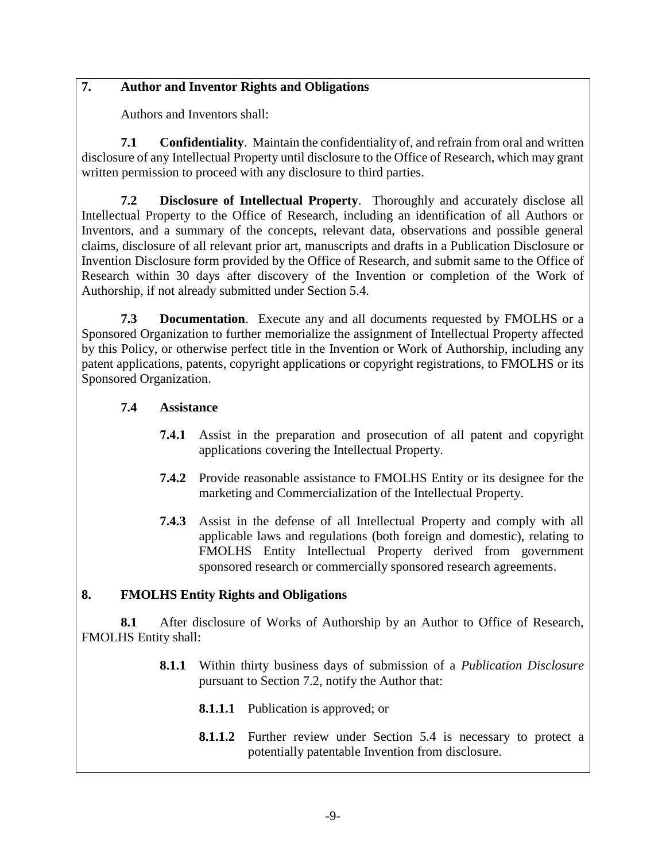## **7. Author and Inventor Rights and Obligations**

Authors and Inventors shall:

**7.1 Confidentiality**. Maintain the confidentiality of, and refrain from oral and written disclosure of any Intellectual Property until disclosure to the Office of Research, which may grant written permission to proceed with any disclosure to third parties.

**7.2 Disclosure of Intellectual Property**. Thoroughly and accurately disclose all Intellectual Property to the Office of Research, including an identification of all Authors or Inventors, and a summary of the concepts, relevant data, observations and possible general claims, disclosure of all relevant prior art, manuscripts and drafts in a Publication Disclosure or Invention Disclosure form provided by the Office of Research, and submit same to the Office of Research within 30 days after discovery of the Invention or completion of the Work of Authorship, if not already submitted under Section 5.4.

**7.3 Documentation**. Execute any and all documents requested by FMOLHS or a Sponsored Organization to further memorialize the assignment of Intellectual Property affected by this Policy, or otherwise perfect title in the Invention or Work of Authorship, including any patent applications, patents, copyright applications or copyright registrations, to FMOLHS or its Sponsored Organization.

#### **7.4 Assistance**

- **7.4.1** Assist in the preparation and prosecution of all patent and copyright applications covering the Intellectual Property.
- **7.4.2** Provide reasonable assistance to FMOLHS Entity or its designee for the marketing and Commercialization of the Intellectual Property.
- **7.4.3** Assist in the defense of all Intellectual Property and comply with all applicable laws and regulations (both foreign and domestic), relating to FMOLHS Entity Intellectual Property derived from government sponsored research or commercially sponsored research agreements.

## **8. FMOLHS Entity Rights and Obligations**

**8.1** After disclosure of Works of Authorship by an Author to Office of Research, FMOLHS Entity shall:

- **8.1.1** Within thirty business days of submission of a *Publication Disclosure* pursuant to Section 7.2, notify the Author that:
	- **8.1.1.1** Publication is approved; or
	- **8.1.1.2** Further review under Section 5.4 is necessary to protect a potentially patentable Invention from disclosure.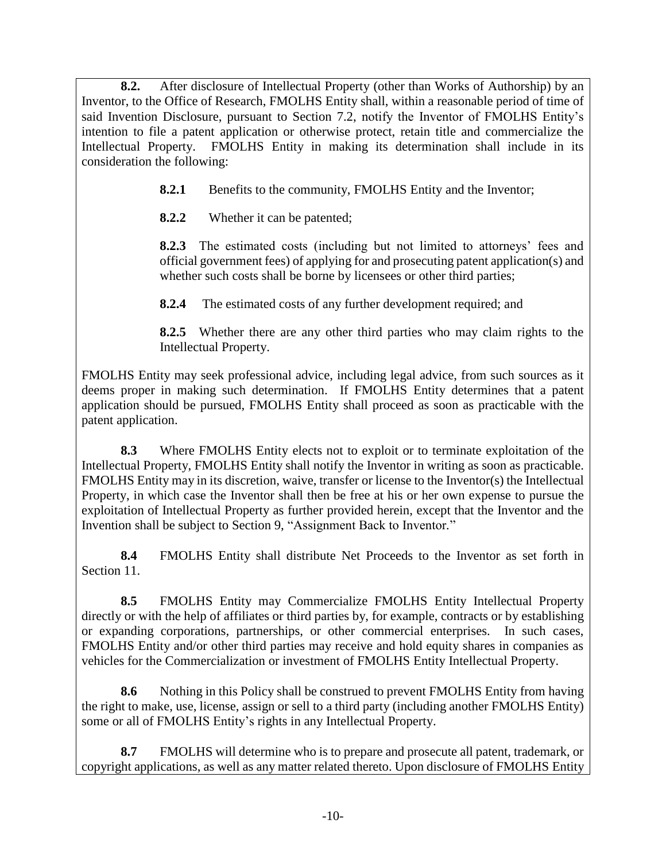**8.2.** After disclosure of Intellectual Property (other than Works of Authorship) by an Inventor, to the Office of Research, FMOLHS Entity shall, within a reasonable period of time of said Invention Disclosure, pursuant to Section 7.2, notify the Inventor of FMOLHS Entity's intention to file a patent application or otherwise protect, retain title and commercialize the Intellectual Property. FMOLHS Entity in making its determination shall include in its consideration the following:

**8.2.1** Benefits to the community, FMOLHS Entity and the Inventor;

**8.2.2** Whether it can be patented;

**8.2.3** The estimated costs (including but not limited to attorneys' fees and official government fees) of applying for and prosecuting patent application(s) and whether such costs shall be borne by licensees or other third parties;

**8.2.4** The estimated costs of any further development required; and

**8.2.5** Whether there are any other third parties who may claim rights to the Intellectual Property.

FMOLHS Entity may seek professional advice, including legal advice, from such sources as it deems proper in making such determination. If FMOLHS Entity determines that a patent application should be pursued, FMOLHS Entity shall proceed as soon as practicable with the patent application.

**8.3** Where FMOLHS Entity elects not to exploit or to terminate exploitation of the Intellectual Property, FMOLHS Entity shall notify the Inventor in writing as soon as practicable. FMOLHS Entity may in its discretion, waive, transfer or license to the Inventor(s) the Intellectual Property, in which case the Inventor shall then be free at his or her own expense to pursue the exploitation of Intellectual Property as further provided herein, except that the Inventor and the Invention shall be subject to Section 9, "Assignment Back to Inventor*.*"

**8.4** FMOLHS Entity shall distribute Net Proceeds to the Inventor as set forth in Section 11.

**8.5** FMOLHS Entity may Commercialize FMOLHS Entity Intellectual Property directly or with the help of affiliates or third parties by, for example, contracts or by establishing or expanding corporations, partnerships, or other commercial enterprises. In such cases, FMOLHS Entity and/or other third parties may receive and hold equity shares in companies as vehicles for the Commercialization or investment of FMOLHS Entity Intellectual Property.

**8.6** Nothing in this Policy shall be construed to prevent FMOLHS Entity from having the right to make, use, license, assign or sell to a third party (including another FMOLHS Entity) some or all of FMOLHS Entity's rights in any Intellectual Property.

**8.7** FMOLHS will determine who is to prepare and prosecute all patent, trademark, or copyright applications, as well as any matter related thereto. Upon disclosure of FMOLHS Entity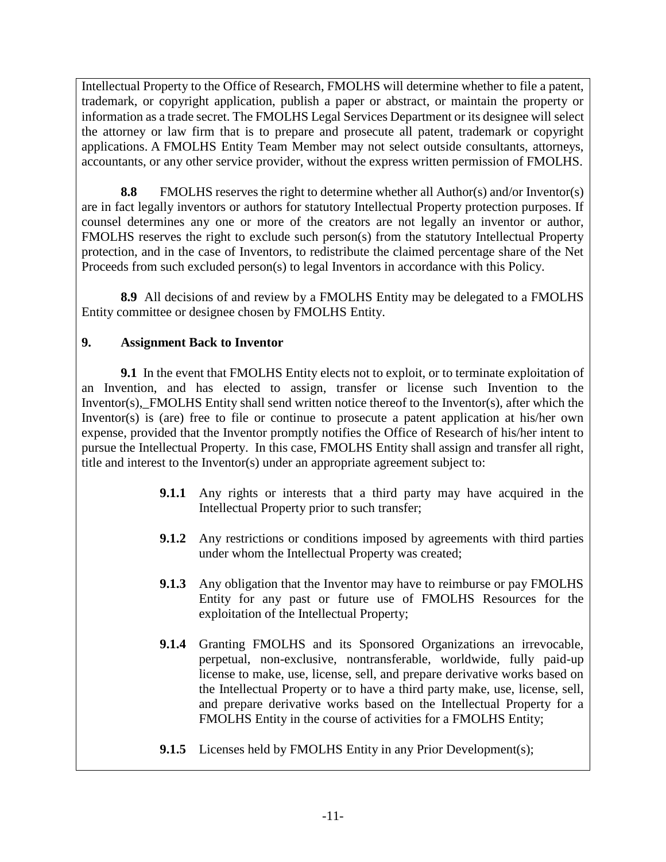Intellectual Property to the Office of Research, FMOLHS will determine whether to file a patent, trademark, or copyright application, publish a paper or abstract, or maintain the property or information as a trade secret. The FMOLHS Legal Services Department or its designee will select the attorney or law firm that is to prepare and prosecute all patent, trademark or copyright applications. A FMOLHS Entity Team Member may not select outside consultants, attorneys, accountants, or any other service provider, without the express written permission of FMOLHS.

**8.8** FMOLHS reserves the right to determine whether all Author(s) and/or Inventor(s) are in fact legally inventors or authors for statutory Intellectual Property protection purposes. If counsel determines any one or more of the creators are not legally an inventor or author, FMOLHS reserves the right to exclude such person(s) from the statutory Intellectual Property protection, and in the case of Inventors, to redistribute the claimed percentage share of the Net Proceeds from such excluded person(s) to legal Inventors in accordance with this Policy.

**8.9** All decisions of and review by a FMOLHS Entity may be delegated to a FMOLHS Entity committee or designee chosen by FMOLHS Entity.

## **9. Assignment Back to Inventor**

**9.1** In the event that FMOLHS Entity elects not to exploit, or to terminate exploitation of an Invention, and has elected to assign, transfer or license such Invention to the Inventor(s),\_FMOLHS Entity shall send written notice thereof to the Inventor(s), after which the Inventor(s) is (are) free to file or continue to prosecute a patent application at his/her own expense, provided that the Inventor promptly notifies the Office of Research of his/her intent to pursue the Intellectual Property. In this case, FMOLHS Entity shall assign and transfer all right, title and interest to the Inventor(s) under an appropriate agreement subject to:

- **9.1.1** Any rights or interests that a third party may have acquired in the Intellectual Property prior to such transfer;
- **9.1.2** Any restrictions or conditions imposed by agreements with third parties under whom the Intellectual Property was created;
- **9.1.3** Any obligation that the Inventor may have to reimburse or pay FMOLHS Entity for any past or future use of FMOLHS Resources for the exploitation of the Intellectual Property;
- **9.1.4** Granting FMOLHS and its Sponsored Organizations an irrevocable, perpetual, non-exclusive, nontransferable, worldwide, fully paid-up license to make, use, license, sell, and prepare derivative works based on the Intellectual Property or to have a third party make, use, license, sell, and prepare derivative works based on the Intellectual Property for a FMOLHS Entity in the course of activities for a FMOLHS Entity;
- **9.1.5** Licenses held by FMOLHS Entity in any Prior Development(s);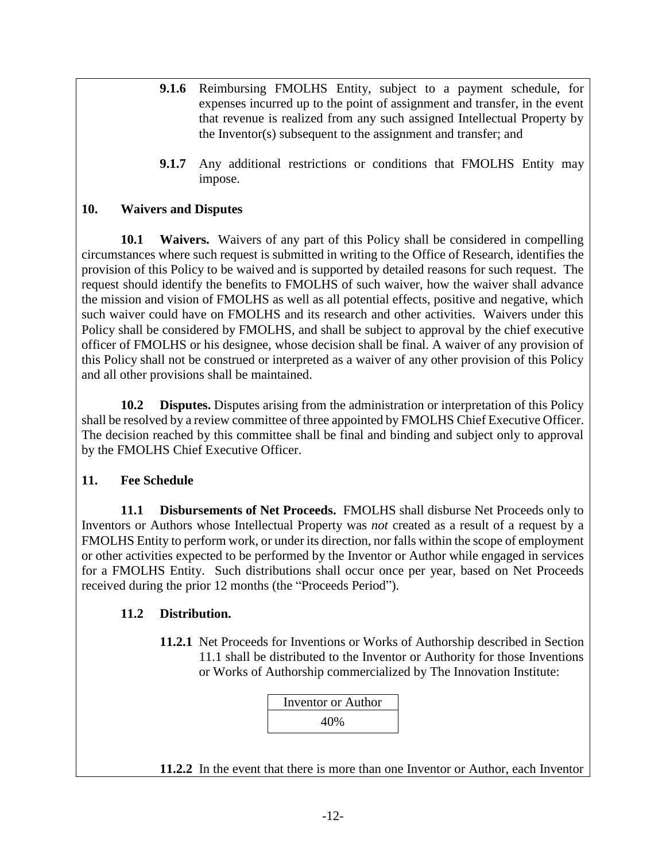- **9.1.6** Reimbursing FMOLHS Entity, subject to a payment schedule, for expenses incurred up to the point of assignment and transfer, in the event that revenue is realized from any such assigned Intellectual Property by the Inventor(s) subsequent to the assignment and transfer; and
- **9.1.7** Any additional restrictions or conditions that FMOLHS Entity may impose.

### **10. Waivers and Disputes**

**10.1 Waivers.** Waivers of any part of this Policy shall be considered in compelling circumstances where such request is submitted in writing to the Office of Research, identifies the provision of this Policy to be waived and is supported by detailed reasons for such request. The request should identify the benefits to FMOLHS of such waiver, how the waiver shall advance the mission and vision of FMOLHS as well as all potential effects, positive and negative, which such waiver could have on FMOLHS and its research and other activities. Waivers under this Policy shall be considered by FMOLHS, and shall be subject to approval by the chief executive officer of FMOLHS or his designee, whose decision shall be final. A waiver of any provision of this Policy shall not be construed or interpreted as a waiver of any other provision of this Policy and all other provisions shall be maintained.

**10.2 Disputes.** Disputes arising from the administration or interpretation of this Policy shall be resolved by a review committee of three appointed by FMOLHS Chief Executive Officer. The decision reached by this committee shall be final and binding and subject only to approval by the FMOLHS Chief Executive Officer.

#### **11. Fee Schedule**

**11.1 Disbursements of Net Proceeds.** FMOLHS shall disburse Net Proceeds only to Inventors or Authors whose Intellectual Property was *not* created as a result of a request by a FMOLHS Entity to perform work, or under its direction, nor falls within the scope of employment or other activities expected to be performed by the Inventor or Author while engaged in services for a FMOLHS Entity. Such distributions shall occur once per year, based on Net Proceeds received during the prior 12 months (the "Proceeds Period").

## **11.2 Distribution.**

**11.2.1** Net Proceeds for Inventions or Works of Authorship described in Section 11.1 shall be distributed to the Inventor or Authority for those Inventions or Works of Authorship commercialized by The Innovation Institute:



**11.2.2** In the event that there is more than one Inventor or Author, each Inventor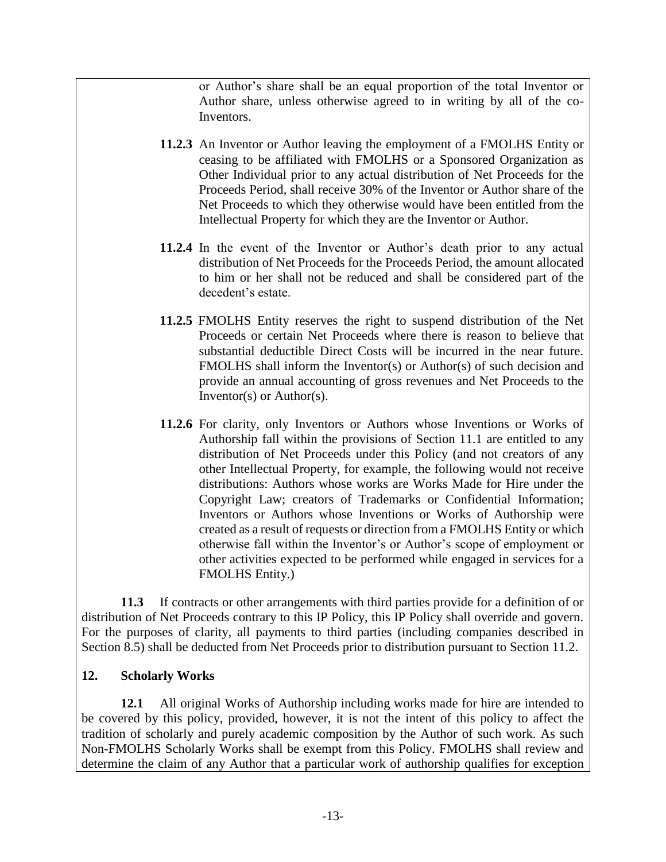or Author's share shall be an equal proportion of the total Inventor or Author share, unless otherwise agreed to in writing by all of the co-Inventors.

- **11.2.3** An Inventor or Author leaving the employment of a FMOLHS Entity or ceasing to be affiliated with FMOLHS or a Sponsored Organization as Other Individual prior to any actual distribution of Net Proceeds for the Proceeds Period, shall receive 30% of the Inventor or Author share of the Net Proceeds to which they otherwise would have been entitled from the Intellectual Property for which they are the Inventor or Author.
- **11.2.4** In the event of the Inventor or Author's death prior to any actual distribution of Net Proceeds for the Proceeds Period, the amount allocated to him or her shall not be reduced and shall be considered part of the decedent's estate.
- **11.2.5** FMOLHS Entity reserves the right to suspend distribution of the Net Proceeds or certain Net Proceeds where there is reason to believe that substantial deductible Direct Costs will be incurred in the near future. FMOLHS shall inform the Inventor(s) or Author(s) of such decision and provide an annual accounting of gross revenues and Net Proceeds to the Inventor(s) or Author(s).
- **11.2.6** For clarity, only Inventors or Authors whose Inventions or Works of Authorship fall within the provisions of Section 11.1 are entitled to any distribution of Net Proceeds under this Policy (and not creators of any other Intellectual Property, for example, the following would not receive distributions: Authors whose works are Works Made for Hire under the Copyright Law; creators of Trademarks or Confidential Information; Inventors or Authors whose Inventions or Works of Authorship were created as a result of requests or direction from a FMOLHS Entity or which otherwise fall within the Inventor's or Author's scope of employment or other activities expected to be performed while engaged in services for a FMOLHS Entity.)

**11.3** If contracts or other arrangements with third parties provide for a definition of or distribution of Net Proceeds contrary to this IP Policy, this IP Policy shall override and govern. For the purposes of clarity, all payments to third parties (including companies described in Section 8.5) shall be deducted from Net Proceeds prior to distribution pursuant to Section 11.2.

#### **12. Scholarly Works**

**12.1** All original Works of Authorship including works made for hire are intended to be covered by this policy, provided, however, it is not the intent of this policy to affect the tradition of scholarly and purely academic composition by the Author of such work. As such Non-FMOLHS Scholarly Works shall be exempt from this Policy. FMOLHS shall review and determine the claim of any Author that a particular work of authorship qualifies for exception